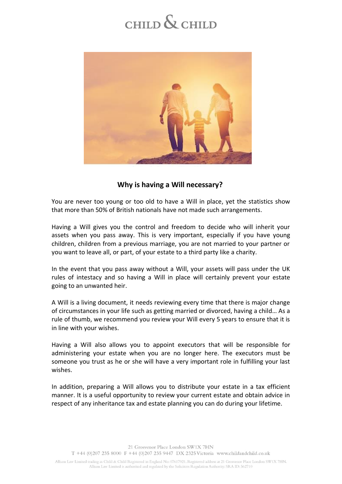## CHILD  $\&$  CHILD



## **Why is having a Will necessary?**

You are never too young or too old to have a Will in place, yet the statistics show that more than 50% of British nationals have not made such arrangements.

Having a Will gives you the control and freedom to decide who will inherit your assets when you pass away. This is very important, especially if you have young children, children from a previous marriage, you are not married to your partner or you want to leave all, or part, of your estate to a third party like a charity.

In the event that you pass away without a Will, your assets will pass under the UK rules of intestacy and so having a Will in place will certainly prevent your estate going to an unwanted heir.

A Will is a living document, it needs reviewing every time that there is major change of circumstances in your life such as getting married or divorced, having a child… As a rule of thumb, we recommend you review your Will every 5 years to ensure that it is in line with your wishes.

Having a Will also allows you to appoint executors that will be responsible for administering your estate when you are no longer here. The executors must be someone you trust as he or she will have a very important role in fulfilling your last wishes.

In addition, preparing a Will allows you to distribute your estate in a tax efficient manner. It is a useful opportunity to review your current estate and obtain advice in respect of any inheritance tax and estate planning you can do during your lifetime.